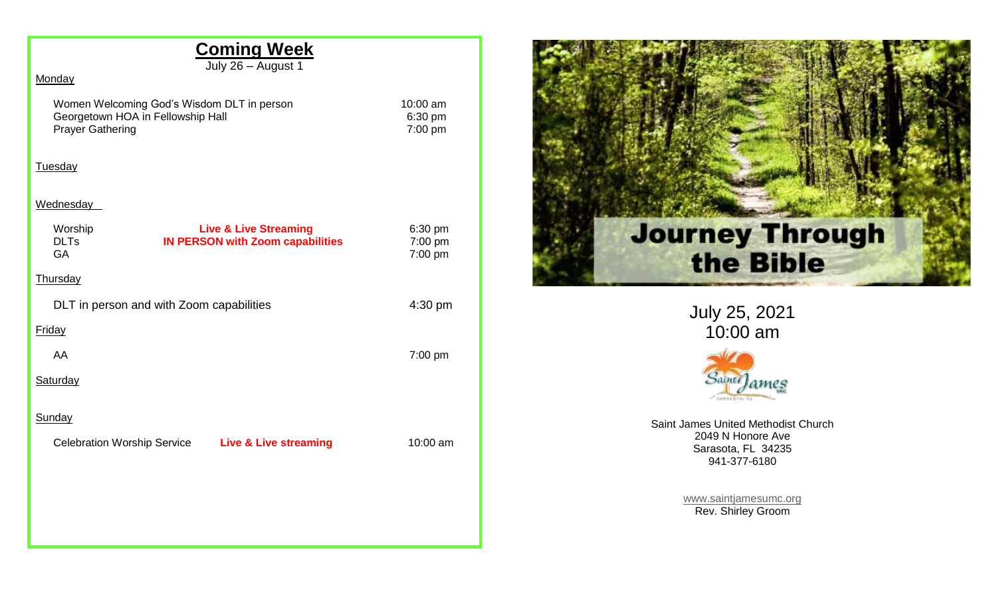# **Coming Week**

July 26 – August 1

### **Monday**

Women Welcoming God's Wisdom DLT in person 10:00 am<br>Georgetown HOA in Fellowship Hall 6:30 pm Georgetown HOA in Fellowship Hall 6:30 pm<br>
Prayer Gathering 6:30 pm Prayer Gathering

#### Tuesday

### **Wednesday**

| Worship<br><b>DLTs</b><br>GA             | <b>Live &amp; Live Streaming</b><br><b>IN PERSON with Zoom capabilities</b> | 6:30 pm<br>7:00 pm<br>7:00 pm |
|------------------------------------------|-----------------------------------------------------------------------------|-------------------------------|
| <b>Thursday</b>                          |                                                                             |                               |
| DLT in person and with Zoom capabilities |                                                                             | 4:30 pm                       |
| <b>Friday</b>                            |                                                                             |                               |
| AA                                       |                                                                             | $7:00$ pm                     |
| <b>Saturday</b>                          |                                                                             |                               |
| <b>Sunday</b>                            |                                                                             |                               |
| <b>Celebration Worship Service</b>       | <b>Live &amp; Live streaming</b>                                            | 10:00 am                      |
|                                          |                                                                             |                               |
|                                          |                                                                             |                               |
|                                          |                                                                             |                               |



July 25, 2021 10:00 am



Saint James United Methodist Church 2049 N Honore Ave Sarasota, FL 34235 941-377-6180

> [www.saintjamesumc.org](http://www.saintjamesumc.org/) Rev. Shirley Groom